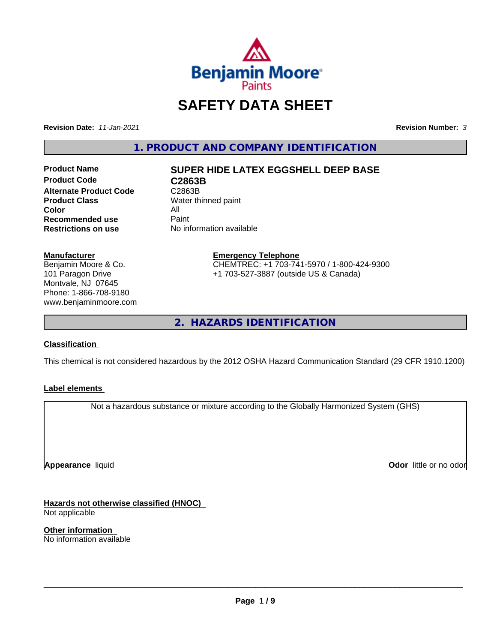

# **SAFETY DATA SHEET**

**Revision Date:** *11-Jan-2021* **Revision Number:** *3*

**1. PRODUCT AND COMPANY IDENTIFICATION**

**Product Code C2863B Alternate Product Code** C2863B<br> **Product Class** Water th **Color** All<br> **Recommended use** Paint **Recommended use**<br>Restrictions on use

# **Product Name SUPER HIDE LATEX EGGSHELL DEEP BASE**

**Water thinned paint No information available** 

**Manufacturer**

Benjamin Moore & Co. 101 Paragon Drive Montvale, NJ 07645 Phone: 1-866-708-9180 www.benjaminmoore.com

#### **Emergency Telephone** CHEMTREC: +1 703-741-5970 / 1-800-424-9300 +1 703-527-3887 (outside US & Canada)

**2. HAZARDS IDENTIFICATION**

## **Classification**

This chemical is not considered hazardous by the 2012 OSHA Hazard Communication Standard (29 CFR 1910.1200)

## **Label elements**

Not a hazardous substance or mixture according to the Globally Harmonized System (GHS)

**Appearance** liquid

**Odor** little or no odor

**Hazards not otherwise classified (HNOC)** Not applicable

**Other information** No information available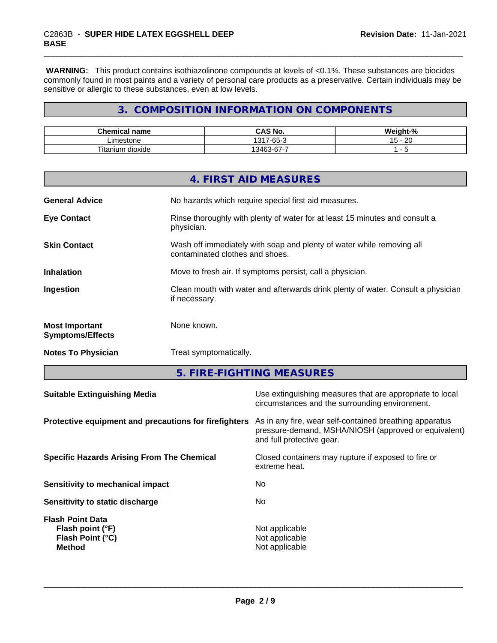**WARNING:** This product contains isothiazolinone compounds at levels of <0.1%. These substances are biocides commonly found in most paints and a variety of personal care products as a preservative. Certain individuals may be sensitive or allergic to these substances, even at low levels.

# **3. COMPOSITION INFORMATION ON COMPONENTS**

| Chemical<br>name                           | <b>CAS No.</b>                                                      | <br>/eıaht<br>- 70       |
|--------------------------------------------|---------------------------------------------------------------------|--------------------------|
| .imestone                                  | $\sim$<br>1317.<br>$\sim$<br>-65-                                   | ാറ<br>. .<br>∽<br>∠⊾<br> |
| <b>Titaniu</b><br>$\sim$<br>dioxide<br>յստ | --<br>$\sim$<br>$\sqrt{2}$<br>$\overline{\phantom{a}}$<br>.34F<br>ີ |                          |

|                                                  | 4. FIRST AID MEASURES                                                                                    |
|--------------------------------------------------|----------------------------------------------------------------------------------------------------------|
| <b>General Advice</b>                            | No hazards which require special first aid measures.                                                     |
| <b>Eye Contact</b>                               | Rinse thoroughly with plenty of water for at least 15 minutes and consult a<br>physician.                |
| <b>Skin Contact</b>                              | Wash off immediately with soap and plenty of water while removing all<br>contaminated clothes and shoes. |
| <b>Inhalation</b>                                | Move to fresh air. If symptoms persist, call a physician.                                                |
| Ingestion                                        | Clean mouth with water and afterwards drink plenty of water. Consult a physician<br>if necessary.        |
| <b>Most Important</b><br><b>Symptoms/Effects</b> | None known.                                                                                              |
| <b>Notes To Physician</b>                        | Treat symptomatically.                                                                                   |

**5. FIRE-FIGHTING MEASURES**

| Protective equipment and precautions for firefighters<br>As in any fire, wear self-contained breathing apparatus<br>pressure-demand, MSHA/NIOSH (approved or equivalent) |  |
|--------------------------------------------------------------------------------------------------------------------------------------------------------------------------|--|
| and full protective gear.                                                                                                                                                |  |
| Closed containers may rupture if exposed to fire or<br><b>Specific Hazards Arising From The Chemical</b><br>extreme heat.                                                |  |
| No.<br>Sensitivity to mechanical impact                                                                                                                                  |  |
| No.<br>Sensitivity to static discharge                                                                                                                                   |  |
| <b>Flash Point Data</b><br>Not applicable<br>Flash point (°F)<br>Flash Point (°C)<br>Not applicable<br>Not applicable<br><b>Method</b>                                   |  |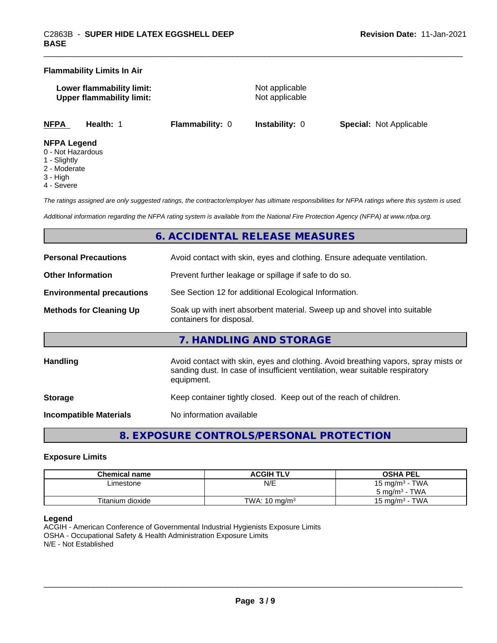#### **Flammability Limits In Air**

| Lower flammability limit:        |  |
|----------------------------------|--|
| <b>Upper flammability limit:</b> |  |

**Not applicable Not applicable** 

**NFPA Health:** 1 **Flammability:** 0 **Instability:** 0 **Special:** Not Applicable

#### **NFPA Legend**

- 0 Not Hazardous
- 1 Slightly
- 2 Moderate
- 3 High
- 4 Severe

*The ratings assigned are only suggested ratings, the contractor/employer has ultimate responsibilities for NFPA ratings where this system is used.*

*Additional information regarding the NFPA rating system is available from the National Fire Protection Agency (NFPA) at www.nfpa.org.*

# **6. ACCIDENTAL RELEASE MEASURES**

| <b>Personal Precautions</b>      | Avoid contact with skin, eyes and clothing. Ensure adequate ventilation.                                                                                                         |  |
|----------------------------------|----------------------------------------------------------------------------------------------------------------------------------------------------------------------------------|--|
| <b>Other Information</b>         | Prevent further leakage or spillage if safe to do so.                                                                                                                            |  |
| <b>Environmental precautions</b> | See Section 12 for additional Ecological Information.                                                                                                                            |  |
| <b>Methods for Cleaning Up</b>   | Soak up with inert absorbent material. Sweep up and shovel into suitable<br>containers for disposal.                                                                             |  |
|                                  | 7. HANDLING AND STORAGE                                                                                                                                                          |  |
| <b>Handling</b>                  | Avoid contact with skin, eyes and clothing. Avoid breathing vapors, spray mists or<br>sanding dust. In case of insufficient ventilation, wear suitable respiratory<br>equipment. |  |
| <b>Storage</b>                   | Keep container tightly closed. Keep out of the reach of children.                                                                                                                |  |
| <b>Incompatible Materials</b>    | No information available                                                                                                                                                         |  |

# **8. EXPOSURE CONTROLS/PERSONAL PROTECTION**

#### **Exposure Limits**

| Chemical name    | <b>ACGIH TLV</b>         | <b>OSHA PEL</b>            |
|------------------|--------------------------|----------------------------|
| ∟imestone        | N/E                      | 15 mg/m <sup>3</sup> - TWA |
|                  |                          | $5 \text{ ma/m}^3$ - TWA   |
| Titanium dioxide | TWA: $10 \text{ ma/m}^3$ | · TWA<br>15 ma/m $3$       |

## **Legend**

ACGIH - American Conference of Governmental Industrial Hygienists Exposure Limits OSHA - Occupational Safety & Health Administration Exposure Limits N/E - Not Established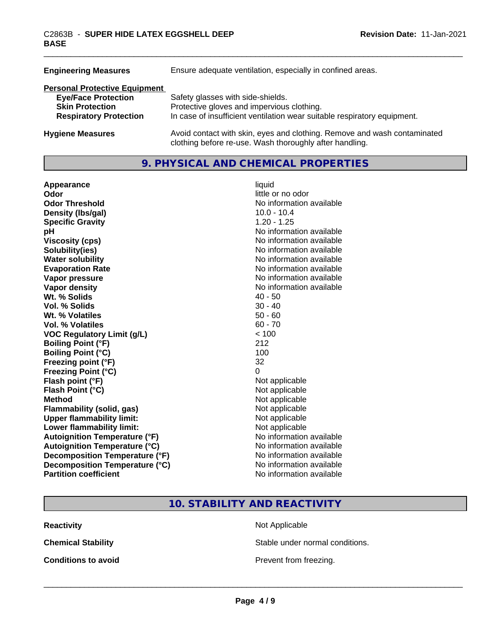| <b>Engineering Measures</b>          | Ensure adequate ventilation, especially in confined areas.                                                                          |
|--------------------------------------|-------------------------------------------------------------------------------------------------------------------------------------|
| <b>Personal Protective Equipment</b> |                                                                                                                                     |
| <b>Eye/Face Protection</b>           | Safety glasses with side-shields.                                                                                                   |
| <b>Skin Protection</b>               | Protective gloves and impervious clothing.                                                                                          |
| <b>Respiratory Protection</b>        | In case of insufficient ventilation wear suitable respiratory equipment.                                                            |
| <b>Hygiene Measures</b>              | Avoid contact with skin, eyes and clothing. Remove and wash contaminated<br>clothing before re-use. Wash thoroughly after handling. |

# **9. PHYSICAL AND CHEMICAL PROPERTIES**

| Appearance                           | liquid                   |
|--------------------------------------|--------------------------|
| Odor                                 | little or no odor        |
| <b>Odor Threshold</b>                | No information available |
| Density (Ibs/gal)                    | $10.0 - 10.4$            |
| <b>Specific Gravity</b>              | $1.20 - 1.25$            |
| рH                                   | No information available |
| <b>Viscosity (cps)</b>               | No information available |
| Solubility(ies)                      | No information available |
| <b>Water solubility</b>              | No information available |
| <b>Evaporation Rate</b>              | No information available |
| Vapor pressure                       | No information available |
| <b>Vapor density</b>                 | No information available |
| Wt. % Solids                         | $40 - 50$                |
| Vol. % Solids                        | $30 - 40$                |
| Wt. % Volatiles                      | $50 - 60$                |
| <b>Vol. % Volatiles</b>              | $60 - 70$                |
| <b>VOC Regulatory Limit (g/L)</b>    | < 100                    |
| <b>Boiling Point (°F)</b>            | 212                      |
| <b>Boiling Point (°C)</b>            | 100                      |
| Freezing point (°F)                  | 32                       |
| <b>Freezing Point (°C)</b>           | 0                        |
| Flash point (°F)                     | Not applicable           |
| Flash Point (°C)                     | Not applicable           |
| <b>Method</b>                        | Not applicable           |
| <b>Flammability (solid, gas)</b>     | Not applicable           |
| <b>Upper flammability limit:</b>     | Not applicable           |
| Lower flammability limit:            | Not applicable           |
| <b>Autoignition Temperature (°F)</b> | No information available |
| <b>Autoignition Temperature (°C)</b> | No information available |
| Decomposition Temperature (°F)       | No information available |
| Decomposition Temperature (°C)       | No information available |
| <b>Partition coefficient</b>         | No information available |

**10. STABILITY AND REACTIVITY**

**Reactivity** Not Applicable

**Chemical Stability Stable under normal conditions.** 

**Conditions to avoid Conditions to avoid Prevent from freezing.**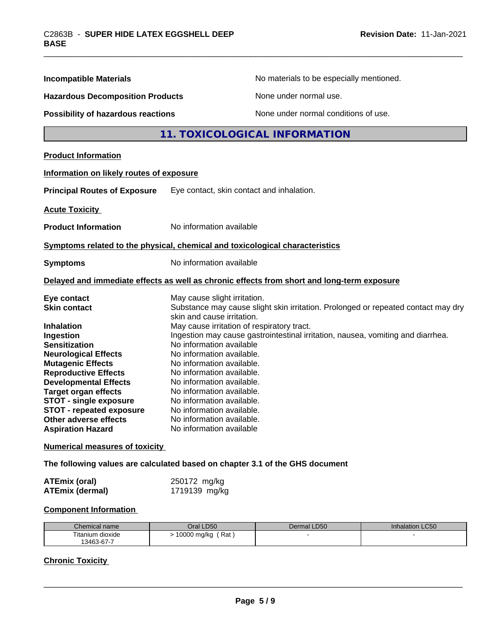| <b>Incompatible Materials</b>                                                                                                                                                                                                                                                                                                            | No materials to be especially mentioned.                                                                                                                                                                                                                                                                                                                                                                                      |  |
|------------------------------------------------------------------------------------------------------------------------------------------------------------------------------------------------------------------------------------------------------------------------------------------------------------------------------------------|-------------------------------------------------------------------------------------------------------------------------------------------------------------------------------------------------------------------------------------------------------------------------------------------------------------------------------------------------------------------------------------------------------------------------------|--|
| <b>Hazardous Decomposition Products</b>                                                                                                                                                                                                                                                                                                  | None under normal use.                                                                                                                                                                                                                                                                                                                                                                                                        |  |
| Possibility of hazardous reactions                                                                                                                                                                                                                                                                                                       | None under normal conditions of use.                                                                                                                                                                                                                                                                                                                                                                                          |  |
|                                                                                                                                                                                                                                                                                                                                          | 11. TOXICOLOGICAL INFORMATION                                                                                                                                                                                                                                                                                                                                                                                                 |  |
| <b>Product Information</b>                                                                                                                                                                                                                                                                                                               |                                                                                                                                                                                                                                                                                                                                                                                                                               |  |
| Information on likely routes of exposure                                                                                                                                                                                                                                                                                                 |                                                                                                                                                                                                                                                                                                                                                                                                                               |  |
| <b>Principal Routes of Exposure</b>                                                                                                                                                                                                                                                                                                      | Eye contact, skin contact and inhalation.                                                                                                                                                                                                                                                                                                                                                                                     |  |
| <b>Acute Toxicity</b>                                                                                                                                                                                                                                                                                                                    |                                                                                                                                                                                                                                                                                                                                                                                                                               |  |
| <b>Product Information</b>                                                                                                                                                                                                                                                                                                               | No information available                                                                                                                                                                                                                                                                                                                                                                                                      |  |
|                                                                                                                                                                                                                                                                                                                                          | Symptoms related to the physical, chemical and toxicological characteristics                                                                                                                                                                                                                                                                                                                                                  |  |
| <b>Symptoms</b>                                                                                                                                                                                                                                                                                                                          | No information available                                                                                                                                                                                                                                                                                                                                                                                                      |  |
|                                                                                                                                                                                                                                                                                                                                          | Delayed and immediate effects as well as chronic effects from short and long-term exposure                                                                                                                                                                                                                                                                                                                                    |  |
| Eye contact<br><b>Skin contact</b>                                                                                                                                                                                                                                                                                                       | May cause slight irritation.<br>Substance may cause slight skin irritation. Prolonged or repeated contact may dry<br>skin and cause irritation.                                                                                                                                                                                                                                                                               |  |
| <b>Inhalation</b><br>Ingestion<br><b>Sensitization</b><br><b>Neurological Effects</b><br><b>Mutagenic Effects</b><br><b>Reproductive Effects</b><br><b>Developmental Effects</b><br><b>Target organ effects</b><br><b>STOT - single exposure</b><br><b>STOT - repeated exposure</b><br>Other adverse effects<br><b>Aspiration Hazard</b> | May cause irritation of respiratory tract.<br>Ingestion may cause gastrointestinal irritation, nausea, vomiting and diarrhea.<br>No information available<br>No information available.<br>No information available.<br>No information available.<br>No information available.<br>No information available.<br>No information available.<br>No information available.<br>No information available.<br>No information available |  |
| <b>Numerical measures of toxicity</b>                                                                                                                                                                                                                                                                                                    |                                                                                                                                                                                                                                                                                                                                                                                                                               |  |

**The following values are calculated based on chapter 3.1 of the GHS document**

| <b>ATEmix (oral)</b>   | 250172 mg/kg  |
|------------------------|---------------|
| <b>ATEmix (dermal)</b> | 1719139 mg/kg |

# **Component Information**

| Chemical name                   | <b>D50</b><br>Jral 1            | Dermal LD50 | Inhalation LC50 |
|---------------------------------|---------------------------------|-------------|-----------------|
| $- \cdot$ .<br>Fitanium dioxide | Rat<br>0000<br>mg/kg<br>$\cdot$ |             |                 |
| 13463-67-7                      |                                 |             |                 |

# **Chronic Toxicity**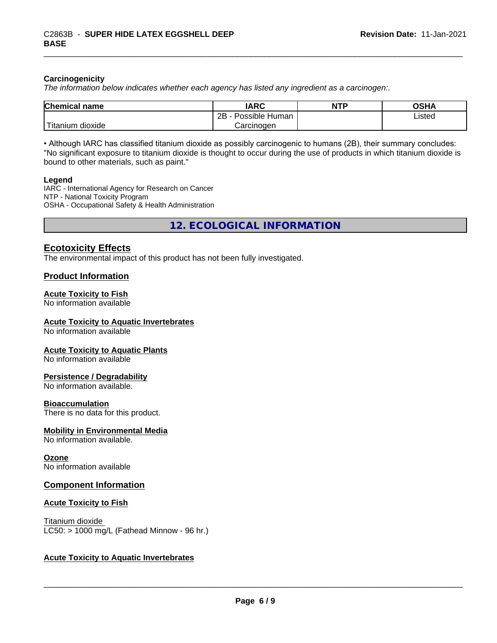#### **Carcinogenicity**

*The information below indicateswhether each agency has listed any ingredient as a carcinogen:.*

| <b>Chemical</b><br>name              | <b>IARC</b>                    | <b>NTP</b> | <b>OCUA</b><br>∪ורט |
|--------------------------------------|--------------------------------|------------|---------------------|
|                                      | . .<br>2B<br>Human<br>Possible |            | ∟isted<br>.         |
| .<br><br>, dioxide<br><b>itanium</b> | Carcinoɑen                     |            |                     |

• Although IARC has classified titanium dioxide as possibly carcinogenic to humans (2B), their summary concludes: "No significant exposure to titanium dioxide is thought to occur during the use of products in which titanium dioxide is bound to other materials, such as paint."

#### **Legend**

IARC - International Agency for Research on Cancer NTP - National Toxicity Program OSHA - Occupational Safety & Health Administration

**12. ECOLOGICAL INFORMATION**

# **Ecotoxicity Effects**

The environmental impact of this product has not been fully investigated.

## **Product Information**

## **Acute Toxicity to Fish**

No information available

#### **Acute Toxicity to Aquatic Invertebrates**

No information available

#### **Acute Toxicity to Aquatic Plants**

No information available

#### **Persistence / Degradability**

No information available.

#### **Bioaccumulation**

There is no data for this product.

#### **Mobility in Environmental Media**

No information available.

#### **Ozone**

No information available

#### **Component Information**

#### **Acute Toxicity to Fish**

Titanium dioxide  $LC50:$  > 1000 mg/L (Fathead Minnow - 96 hr.)

## **Acute Toxicity to Aquatic Invertebrates**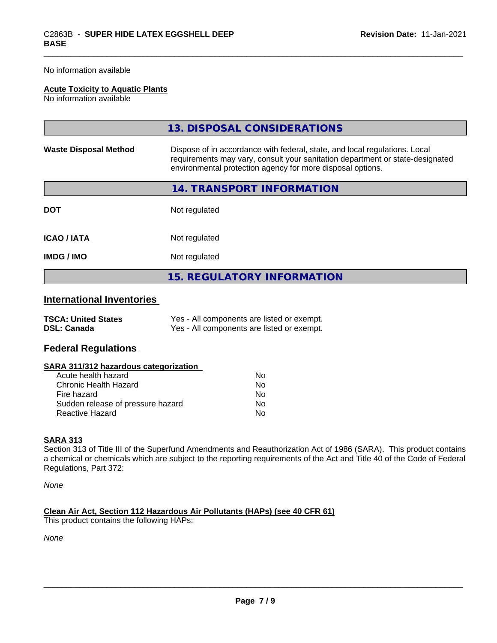No information available

## **Acute Toxicity to Aquatic Plants**

No information available

|                              | 13. DISPOSAL CONSIDERATIONS                                                                                                                                                                                               |  |
|------------------------------|---------------------------------------------------------------------------------------------------------------------------------------------------------------------------------------------------------------------------|--|
| <b>Waste Disposal Method</b> | Dispose of in accordance with federal, state, and local regulations. Local<br>requirements may vary, consult your sanitation department or state-designated<br>environmental protection agency for more disposal options. |  |
|                              | 14. TRANSPORT INFORMATION                                                                                                                                                                                                 |  |
| <b>DOT</b>                   | Not regulated                                                                                                                                                                                                             |  |
| <b>ICAO / IATA</b>           | Not regulated                                                                                                                                                                                                             |  |
| <b>IMDG / IMO</b>            | Not regulated                                                                                                                                                                                                             |  |
|                              | <b>15. REGULATORY INFORMATION</b>                                                                                                                                                                                         |  |

# **International Inventories**

| <b>TSCA: United States</b> | Yes - All components are listed or exempt. |
|----------------------------|--------------------------------------------|
| <b>DSL: Canada</b>         | Yes - All components are listed or exempt. |

# **Federal Regulations**

| SARA 311/312 hazardous categorization |  |
|---------------------------------------|--|
|---------------------------------------|--|

| Acute health hazard               | Nο |
|-----------------------------------|----|
| Chronic Health Hazard             | Nο |
| Fire hazard                       | N٥ |
| Sudden release of pressure hazard | Nο |
| Reactive Hazard                   | N٥ |

#### **SARA 313**

Section 313 of Title III of the Superfund Amendments and Reauthorization Act of 1986 (SARA). This product contains a chemical or chemicals which are subject to the reporting requirements of the Act and Title 40 of the Code of Federal Regulations, Part 372:

*None*

**Clean Air Act,Section 112 Hazardous Air Pollutants (HAPs) (see 40 CFR 61)** This product contains the following HAPs:

*None*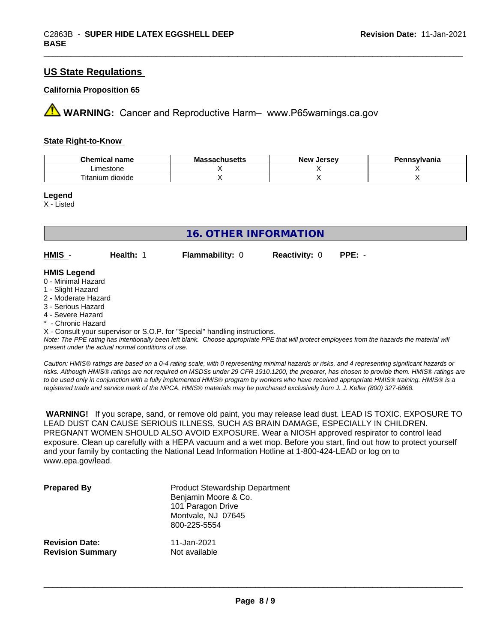# **US State Regulations**

#### **California Proposition 65**

**AVIMARNING:** Cancer and Reproductive Harm– www.P65warnings.ca.gov

#### **State Right-to-Know**

| Chemical<br>name<br>ા વામા | --<br>Ma<br>,hucatte<br>aunuseus | . Jersev<br><b>New</b> | `svlvania |
|----------------------------|----------------------------------|------------------------|-----------|
| imestone                   |                                  |                        |           |
| --<br>l itanium<br>dioxide |                                  |                        |           |

#### **Legend**

X - Listed

| 16. OTHER INFORMATION                                          |                  |                        |                             |  |
|----------------------------------------------------------------|------------------|------------------------|-----------------------------|--|
| $HMIS -$                                                       | <b>Health: 1</b> | <b>Flammability: 0</b> | <b>Reactivity: 0 PPE: -</b> |  |
| <b>HMIS Legend</b><br>$\bigcap$ $M(x)$ and $\bigcup$ $\bigcap$ |                  |                        |                             |  |

#### 0 - Minimal Hazard

- 1 Slight Hazard
- 2 Moderate Hazard
- 3 Serious Hazard
- 4 Severe Hazard
- \* Chronic Hazard

X - Consult your supervisor or S.O.P. for "Special" handling instructions.

*Note: The PPE rating has intentionally been left blank. Choose appropriate PPE that will protect employees from the hazards the material will present under the actual normal conditions of use.*

*Caution: HMISÒ ratings are based on a 0-4 rating scale, with 0 representing minimal hazards or risks, and 4 representing significant hazards or risks. Although HMISÒ ratings are not required on MSDSs under 29 CFR 1910.1200, the preparer, has chosen to provide them. HMISÒ ratings are to be used only in conjunction with a fully implemented HMISÒ program by workers who have received appropriate HMISÒ training. HMISÒ is a registered trade and service mark of the NPCA. HMISÒ materials may be purchased exclusively from J. J. Keller (800) 327-6868.*

 **WARNING!** If you scrape, sand, or remove old paint, you may release lead dust. LEAD IS TOXIC. EXPOSURE TO LEAD DUST CAN CAUSE SERIOUS ILLNESS, SUCH AS BRAIN DAMAGE, ESPECIALLY IN CHILDREN. PREGNANT WOMEN SHOULD ALSO AVOID EXPOSURE.Wear a NIOSH approved respirator to control lead exposure. Clean up carefully with a HEPA vacuum and a wet mop. Before you start, find out how to protect yourself and your family by contacting the National Lead Information Hotline at 1-800-424-LEAD or log on to www.epa.gov/lead.

| <b>Prepared By</b>      | <b>Product Stewardship Department</b><br>Benjamin Moore & Co.<br>101 Paragon Drive<br>Montvale, NJ 07645<br>800-225-5554 |
|-------------------------|--------------------------------------------------------------------------------------------------------------------------|
| <b>Revision Date:</b>   | 11-Jan-2021                                                                                                              |
| <b>Revision Summary</b> | Not available                                                                                                            |